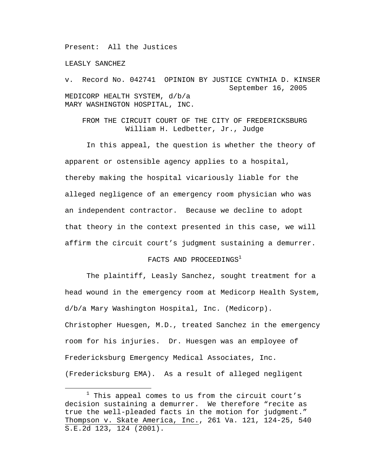Present: All the Justices

LEASLY SANCHEZ

v. Record No. 042741 OPINION BY JUSTICE CYNTHIA D. KINSER September 16, 2005 MEDICORP HEALTH SYSTEM, d/b/a MARY WASHINGTON HOSPITAL, INC.

FROM THE CIRCUIT COURT OF THE CITY OF FREDERICKSBURG William H. Ledbetter, Jr., Judge

In this appeal, the question is whether the theory of apparent or ostensible agency applies to a hospital, thereby making the hospital vicariously liable for the alleged negligence of an emergency room physician who was an independent contractor. Because we decline to adopt that theory in the context presented in this case, we will affirm the circuit court's judgment sustaining a demurrer.

## FACTS AND PROCEEDINGS $^1$

 The plaintiff, Leasly Sanchez, sought treatment for a head wound in the emergency room at Medicorp Health System, d/b/a Mary Washington Hospital, Inc. (Medicorp). Christopher Huesgen, M.D., treated Sanchez in the emergency room for his injuries. Dr. Huesgen was an employee of Fredericksburg Emergency Medical Associates, Inc. (Fredericksburg EMA). As a result of alleged negligent

 $\overline{\phantom{a}}$  $1$  This appeal comes to us from the circuit court's decision sustaining a demurrer. We therefore "recite as true the well-pleaded facts in the motion for judgment." Thompson v. Skate America, Inc., 261 Va. 121, 124-25, 540 S.E.2d 123, 124 (2001).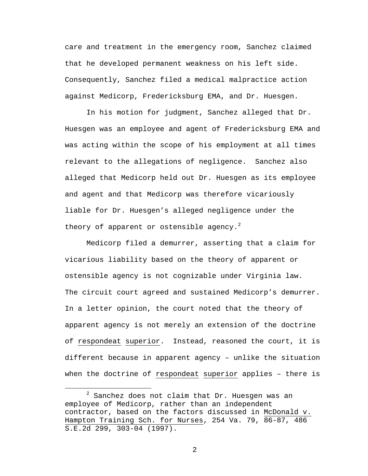care and treatment in the emergency room, Sanchez claimed that he developed permanent weakness on his left side. Consequently, Sanchez filed a medical malpractice action against Medicorp, Fredericksburg EMA, and Dr. Huesgen.

In his motion for judgment, Sanchez alleged that Dr. Huesgen was an employee and agent of Fredericksburg EMA and was acting within the scope of his employment at all times relevant to the allegations of negligence. Sanchez also alleged that Medicorp held out Dr. Huesgen as its employee and agent and that Medicorp was therefore vicariously liable for Dr. Huesgen's alleged negligence under the theory of apparent or ostensible agency.<sup>2</sup>

Medicorp filed a demurrer, asserting that a claim for vicarious liability based on the theory of apparent or ostensible agency is not cognizable under Virginia law. The circuit court agreed and sustained Medicorp's demurrer. In a letter opinion, the court noted that the theory of apparent agency is not merely an extension of the doctrine of respondeat superior. Instead, reasoned the court, it is different because in apparent agency – unlike the situation when the doctrine of respondeat superior applies – there is

 <sup>2</sup>  $2$  Sanchez does not claim that Dr. Huesgen was an employee of Medicorp, rather than an independent contractor, based on the factors discussed in McDonald v. Hampton Training Sch. for Nurses, 254 Va. 79, 86-87, 486 S.E.2d 299, 303-04 (1997).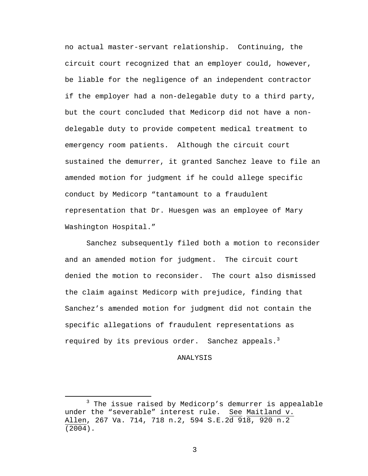no actual master-servant relationship. Continuing, the circuit court recognized that an employer could, however, be liable for the negligence of an independent contractor if the employer had a non-delegable duty to a third party, but the court concluded that Medicorp did not have a nondelegable duty to provide competent medical treatment to emergency room patients. Although the circuit court sustained the demurrer, it granted Sanchez leave to file an amended motion for judgment if he could allege specific conduct by Medicorp "tantamount to a fraudulent representation that Dr. Huesgen was an employee of Mary Washington Hospital."

Sanchez subsequently filed both a motion to reconsider and an amended motion for judgment. The circuit court denied the motion to reconsider. The court also dismissed the claim against Medicorp with prejudice, finding that Sanchez's amended motion for judgment did not contain the specific allegations of fraudulent representations as required by its previous order. Sanchez appeals.<sup>3</sup>

## ANALYSIS

 $\overline{\phantom{a}}$  3  $3$  The issue raised by Medicorp's demurrer is appealable under the "severable" interest rule. See Maitland v. Allen, 267 Va. 714, 718 n.2, 594 S.E.2d 918, 920 n.2 (2004).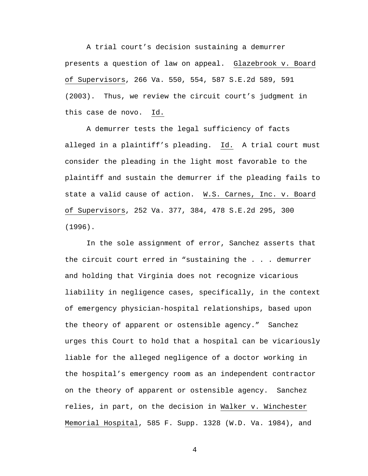A trial court's decision sustaining a demurrer presents a question of law on appeal. Glazebrook v. Board of Supervisors, 266 Va. 550, 554, 587 S.E.2d 589, 591 (2003). Thus, we review the circuit court's judgment in this case de novo. Id.

A demurrer tests the legal sufficiency of facts alleged in a plaintiff's pleading. Id. A trial court must consider the pleading in the light most favorable to the plaintiff and sustain the demurrer if the pleading fails to state a valid cause of action. W.S. Carnes, Inc. v. Board of Supervisors, 252 Va. 377, 384, 478 S.E.2d 295, 300 (1996).

In the sole assignment of error, Sanchez asserts that the circuit court erred in "sustaining the . . . demurrer and holding that Virginia does not recognize vicarious liability in negligence cases, specifically, in the context of emergency physician-hospital relationships, based upon the theory of apparent or ostensible agency." Sanchez urges this Court to hold that a hospital can be vicariously liable for the alleged negligence of a doctor working in the hospital's emergency room as an independent contractor on the theory of apparent or ostensible agency. Sanchez relies, in part, on the decision in Walker v. Winchester Memorial Hospital, 585 F. Supp. 1328 (W.D. Va. 1984), and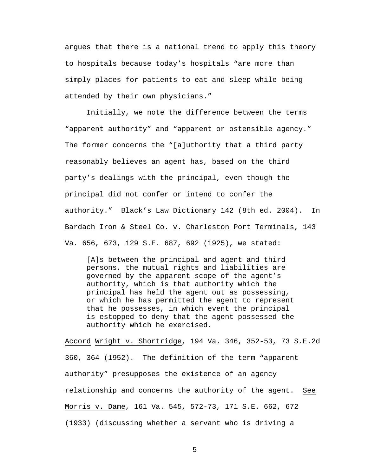argues that there is a national trend to apply this theory to hospitals because today's hospitals "are more than simply places for patients to eat and sleep while being attended by their own physicians."

Initially, we note the difference between the terms "apparent authority" and "apparent or ostensible agency." The former concerns the "[a]uthority that a third party reasonably believes an agent has, based on the third party's dealings with the principal, even though the principal did not confer or intend to confer the authority." Black's Law Dictionary 142 (8th ed. 2004). In Bardach Iron & Steel Co. v. Charleston Port Terminals, 143 Va. 656, 673, 129 S.E. 687, 692 (1925), we stated:

[A]s between the principal and agent and third persons, the mutual rights and liabilities are governed by the apparent scope of the agent's authority, which is that authority which the principal has held the agent out as possessing, or which he has permitted the agent to represent that he possesses, in which event the principal is estopped to deny that the agent possessed the authority which he exercised.

Accord Wright v. Shortridge, 194 Va. 346, 352-53, 73 S.E.2d 360, 364 (1952). The definition of the term "apparent authority" presupposes the existence of an agency relationship and concerns the authority of the agent. See Morris v. Dame, 161 Va. 545, 572-73, 171 S.E. 662, 672 (1933) (discussing whether a servant who is driving a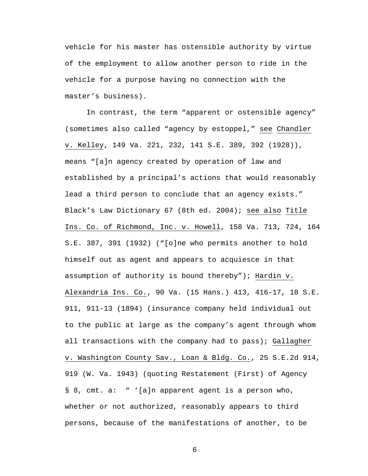vehicle for his master has ostensible authority by virtue of the employment to allow another person to ride in the vehicle for a purpose having no connection with the master's business).

In contrast, the term "apparent or ostensible agency" (sometimes also called "agency by estoppel," see Chandler v. Kelley, 149 Va. 221, 232, 141 S.E. 389, 392 (1928)), means "[a]n agency created by operation of law and established by a principal's actions that would reasonably lead a third person to conclude that an agency exists." Black's Law Dictionary 67 (8th ed. 2004); see also Title Ins. Co. of Richmond, Inc. v. Howell, 158 Va. 713, 724, 164 S.E. 387, 391 (1932) ("[o]ne who permits another to hold himself out as agent and appears to acquiesce in that assumption of authority is bound thereby"); Hardin v. Alexandria Ins. Co., 90 Va. (15 Hans.) 413, 416-17, 18 S.E. 911, 911-13 (1894) (insurance company held individual out to the public at large as the company's agent through whom all transactions with the company had to pass); Gallagher v. Washington County Sav., Loan & Bldg. Co., 25 S.E.2d 914, 919 (W. Va. 1943) (quoting Restatement (First) of Agency § 8, cmt. a: " '[a]n apparent agent is a person who, whether or not authorized, reasonably appears to third persons, because of the manifestations of another, to be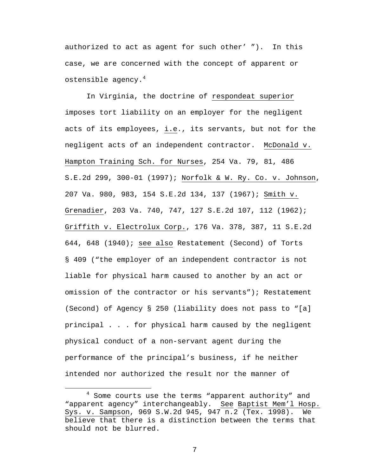authorized to act as agent for such other' "). In this case, we are concerned with the concept of apparent or ostensible agency. $4$ 

In Virginia, the doctrine of respondeat superior imposes tort liability on an employer for the negligent acts of its employees, i.e., its servants, but not for the negligent acts of an independent contractor. McDonald v. Hampton Training Sch. for Nurses, 254 Va. 79, 81, 486 S.E.2d 299, 300-01 (1997); Norfolk & W. Ry. Co. v. Johnson, 207 Va. 980, 983, 154 S.E.2d 134, 137 (1967); Smith v. Grenadier, 203 Va. 740, 747, 127 S.E.2d 107, 112 (1962); Griffith v. Electrolux Corp., 176 Va. 378, 387, 11 S.E.2d 644, 648 (1940); see also Restatement (Second) of Torts § 409 ("the employer of an independent contractor is not liable for physical harm caused to another by an act or omission of the contractor or his servants"); Restatement (Second) of Agency § 250 (liability does not pass to "[a] principal . . . for physical harm caused by the negligent physical conduct of a non-servant agent during the performance of the principal's business, if he neither intended nor authorized the result nor the manner of

 $\overline{4}$  $4$  Some courts use the terms "apparent authority" and "apparent agency" interchangeably. See Baptist Mem'l Hosp. Sys. v. Sampson, 969 S.W.2d 945, 947 n.2 (Tex. 1998). We believe that there is a distinction between the terms that should not be blurred.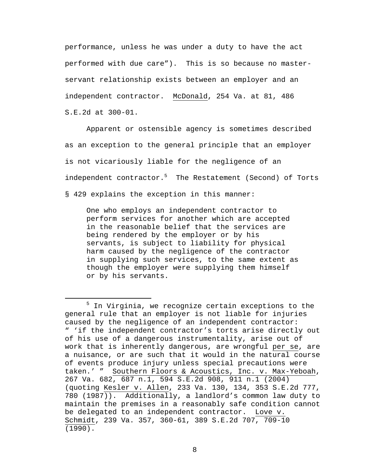performance, unless he was under a duty to have the act performed with due care"). This is so because no masterservant relationship exists between an employer and an independent contractor. McDonald, 254 Va. at 81, 486 S.E.2d at 300-01.

Apparent or ostensible agency is sometimes described as an exception to the general principle that an employer is not vicariously liable for the negligence of an independent contractor.<sup>5</sup> The Restatement (Second) of Torts § 429 explains the exception in this manner:

One who employs an independent contractor to perform services for another which are accepted in the reasonable belief that the services are being rendered by the employer or by his servants, is subject to liability for physical harm caused by the negligence of the contractor in supplying such services, to the same extent as though the employer were supplying them himself or by his servants.

 $\frac{1}{5}$  $5$  In Virginia, we recognize certain exceptions to the general rule that an employer is not liable for injuries caused by the negligence of an independent contractor: " 'if the independent contractor's torts arise directly out of his use of a dangerous instrumentality, arise out of work that is inherently dangerous, are wrongful per se, are a nuisance, or are such that it would in the natural course of events produce injury unless special precautions were taken.' " Southern Floors & Acoustics, Inc. v. Max-Yeboah, 267 Va. 682, 687 n.1, 594 S.E.2d 908, 911 n.1 (2004) (quoting Kesler v. Allen, 233 Va. 130, 134, 353 S.E.2d 777, 780 (1987)). Additionally, a landlord's common law duty to maintain the premises in a reasonably safe condition cannot be delegated to an independent contractor. Love v. Schmidt, 239 Va. 357, 360-61, 389 S.E.2d 707, 709-10 (1990).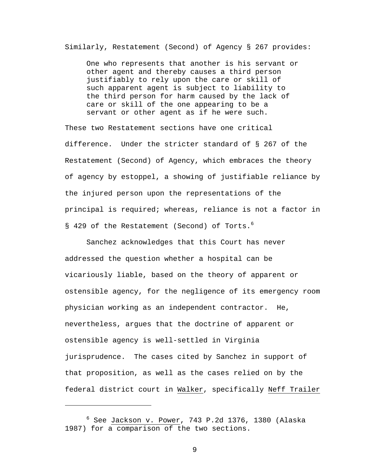Similarly, Restatement (Second) of Agency § 267 provides:

One who represents that another is his servant or other agent and thereby causes a third person justifiably to rely upon the care or skill of such apparent agent is subject to liability to the third person for harm caused by the lack of care or skill of the one appearing to be a servant or other agent as if he were such.

These two Restatement sections have one critical difference. Under the stricter standard of § 267 of the Restatement (Second) of Agency, which embraces the theory of agency by estoppel, a showing of justifiable reliance by the injured person upon the representations of the principal is required; whereas, reliance is not a factor in § 429 of the Restatement (Second) of Torts.<sup>6</sup>

Sanchez acknowledges that this Court has never addressed the question whether a hospital can be vicariously liable, based on the theory of apparent or ostensible agency, for the negligence of its emergency room physician working as an independent contractor. He, nevertheless, argues that the doctrine of apparent or ostensible agency is well-settled in Virginia jurisprudence. The cases cited by Sanchez in support of that proposition, as well as the cases relied on by the federal district court in Walker, specifically Neff Trailer

i<br>Li

<sup>6</sup> See Jackson v. Power, 743 P.2d 1376, 1380 (Alaska 1987) for a comparison of the two sections.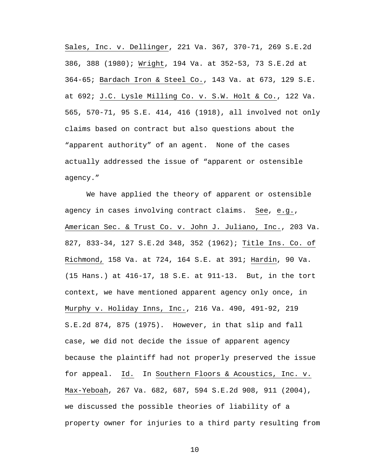Sales, Inc. v. Dellinger, 221 Va. 367, 370-71, 269 S.E.2d 386, 388 (1980); Wright, 194 Va. at 352-53, 73 S.E.2d at 364-65; Bardach Iron & Steel Co., 143 Va. at 673, 129 S.E. at 692; J.C. Lysle Milling Co. v. S.W. Holt & Co., 122 Va. 565, 570-71, 95 S.E. 414, 416 (1918), all involved not only claims based on contract but also questions about the "apparent authority" of an agent. None of the cases actually addressed the issue of "apparent or ostensible agency."

We have applied the theory of apparent or ostensible agency in cases involving contract claims. See, e.g., American Sec. & Trust Co. v. John J. Juliano, Inc., 203 Va. 827, 833-34, 127 S.E.2d 348, 352 (1962); Title Ins. Co. of Richmond, 158 Va. at 724, 164 S.E. at 391; Hardin, 90 Va. (15 Hans.) at 416-17, 18 S.E. at 911-13. But, in the tort context, we have mentioned apparent agency only once, in Murphy v. Holiday Inns, Inc., 216 Va. 490, 491-92, 219 S.E.2d 874, 875 (1975). However, in that slip and fall case, we did not decide the issue of apparent agency because the plaintiff had not properly preserved the issue for appeal. Id. In Southern Floors & Acoustics, Inc. v. Max-Yeboah, 267 Va. 682, 687, 594 S.E.2d 908, 911 (2004), we discussed the possible theories of liability of a property owner for injuries to a third party resulting from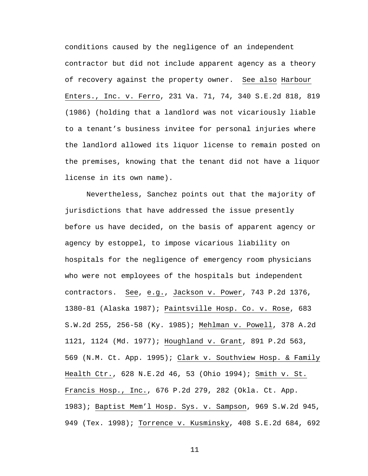conditions caused by the negligence of an independent contractor but did not include apparent agency as a theory of recovery against the property owner. See also Harbour Enters., Inc. v. Ferro, 231 Va. 71, 74, 340 S.E.2d 818, 819 (1986) (holding that a landlord was not vicariously liable to a tenant's business invitee for personal injuries where the landlord allowed its liquor license to remain posted on the premises, knowing that the tenant did not have a liquor license in its own name).

 Nevertheless, Sanchez points out that the majority of jurisdictions that have addressed the issue presently before us have decided, on the basis of apparent agency or agency by estoppel, to impose vicarious liability on hospitals for the negligence of emergency room physicians who were not employees of the hospitals but independent contractors. See, e.g., Jackson v. Power, 743 P.2d 1376, 1380-81 (Alaska 1987); Paintsville Hosp. Co. v. Rose, 683 S.W.2d 255, 256-58 (Ky. 1985); Mehlman v. Powell, 378 A.2d 1121, 1124 (Md. 1977); Houghland v. Grant, 891 P.2d 563, 569 (N.M. Ct. App. 1995); Clark v. Southview Hosp. & Family Health Ctr., 628 N.E.2d 46, 53 (Ohio 1994); Smith v. St. Francis Hosp., Inc., 676 P.2d 279, 282 (Okla. Ct. App. 1983); Baptist Mem'l Hosp. Sys. v. Sampson, 969 S.W.2d 945, 949 (Tex. 1998); Torrence v. Kusminsky, 408 S.E.2d 684, 692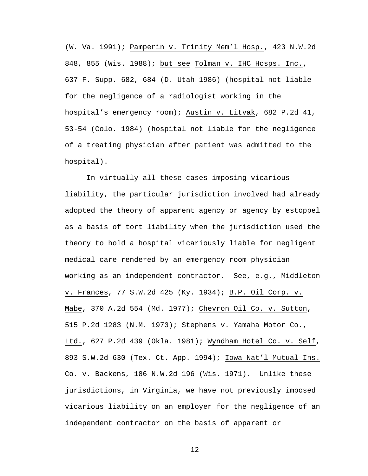(W. Va. 1991); Pamperin v. Trinity Mem'l Hosp., 423 N.W.2d 848, 855 (Wis. 1988); but see Tolman v. IHC Hosps. Inc., 637 F. Supp. 682, 684 (D. Utah 1986) (hospital not liable for the negligence of a radiologist working in the hospital's emergency room); Austin v. Litvak, 682 P.2d 41, 53-54 (Colo. 1984) (hospital not liable for the negligence of a treating physician after patient was admitted to the hospital).

 In virtually all these cases imposing vicarious liability, the particular jurisdiction involved had already adopted the theory of apparent agency or agency by estoppel as a basis of tort liability when the jurisdiction used the theory to hold a hospital vicariously liable for negligent medical care rendered by an emergency room physician working as an independent contractor. See, e.g., Middleton v. Frances, 77 S.W.2d 425 (Ky. 1934); B.P. Oil Corp. v. Mabe, 370 A.2d 554 (Md. 1977); Chevron Oil Co. v. Sutton, 515 P.2d 1283 (N.M. 1973); Stephens v. Yamaha Motor Co., Ltd., 627 P.2d 439 (Okla. 1981); Wyndham Hotel Co. v. Self, 893 S.W.2d 630 (Tex. Ct. App. 1994); Iowa Nat'l Mutual Ins. Co. v. Backens, 186 N.W.2d 196 (Wis. 1971). Unlike these jurisdictions, in Virginia, we have not previously imposed vicarious liability on an employer for the negligence of an independent contractor on the basis of apparent or